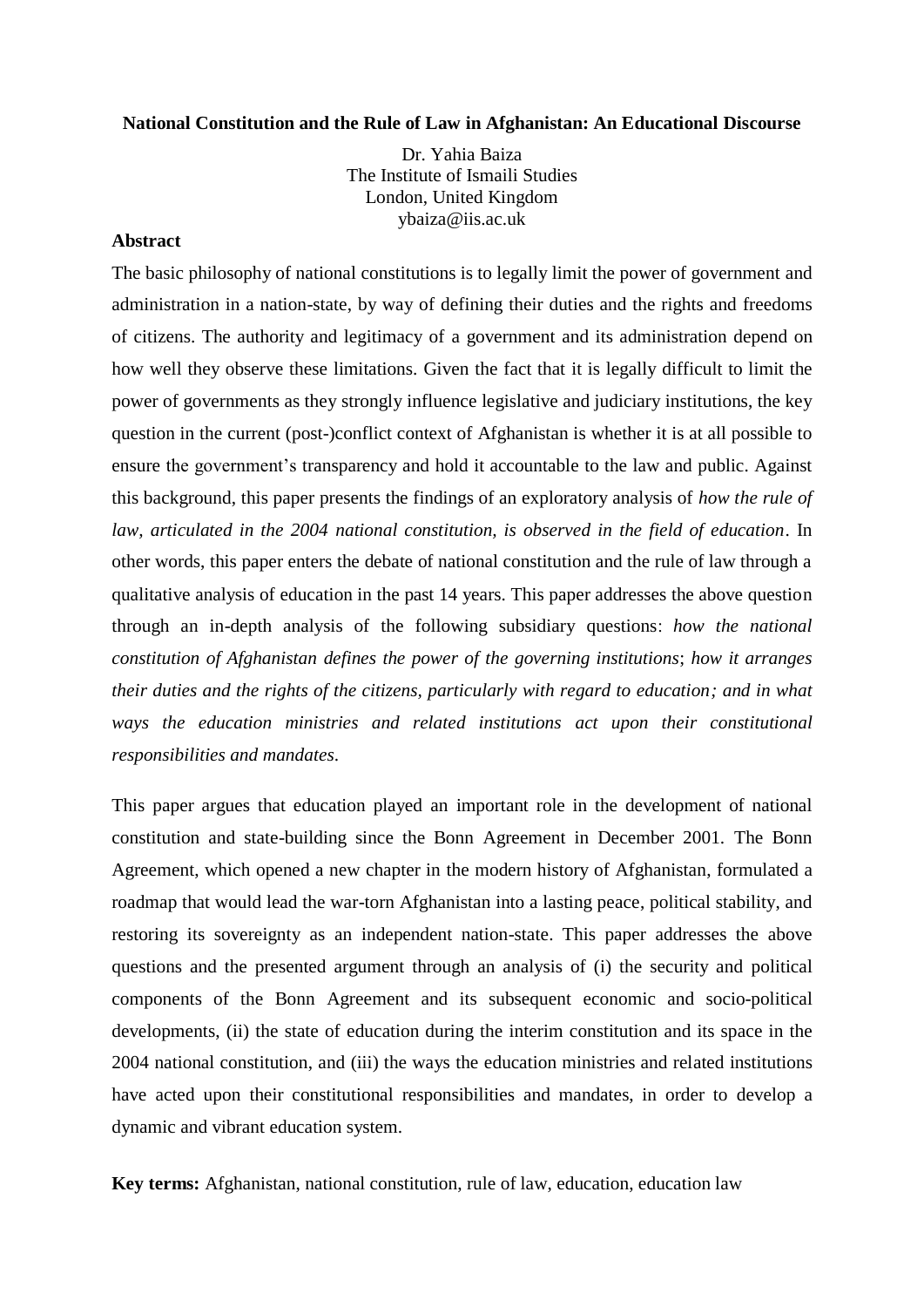## **National Constitution and the Rule of Law in Afghanistan: An Educational Discourse**

Dr. Yahia Baiza The Institute of Ismaili Studies London, United Kingdom ybaiza@iis.ac.uk

## **Abstract**

The basic philosophy of national constitutions is to legally limit the power of government and administration in a nation-state, by way of defining their duties and the rights and freedoms of citizens. The authority and legitimacy of a government and its administration depend on how well they observe these limitations. Given the fact that it is legally difficult to limit the power of governments as they strongly influence legislative and judiciary institutions, the key question in the current (post-)conflict context of Afghanistan is whether it is at all possible to ensure the government's transparency and hold it accountable to the law and public. Against this background, this paper presents the findings of an exploratory analysis of *how the rule of law, articulated in the 2004 national constitution, is observed in the field of education*. In other words, this paper enters the debate of national constitution and the rule of law through a qualitative analysis of education in the past 14 years. This paper addresses the above question through an in-depth analysis of the following subsidiary questions: *how the national constitution of Afghanistan defines the power of the governing institutions*; *how it arranges their duties and the rights of the citizens, particularly with regard to education; and in what ways the education ministries and related institutions act upon their constitutional responsibilities and mandates*.

This paper argues that education played an important role in the development of national constitution and state-building since the Bonn Agreement in December 2001. The Bonn Agreement, which opened a new chapter in the modern history of Afghanistan, formulated a roadmap that would lead the war-torn Afghanistan into a lasting peace, political stability, and restoring its sovereignty as an independent nation-state. This paper addresses the above questions and the presented argument through an analysis of (i) the security and political components of the Bonn Agreement and its subsequent economic and socio-political developments, (ii) the state of education during the interim constitution and its space in the 2004 national constitution, and (iii) the ways the education ministries and related institutions have acted upon their constitutional responsibilities and mandates, in order to develop a dynamic and vibrant education system.

**Key terms:** Afghanistan, national constitution, rule of law, education, education law